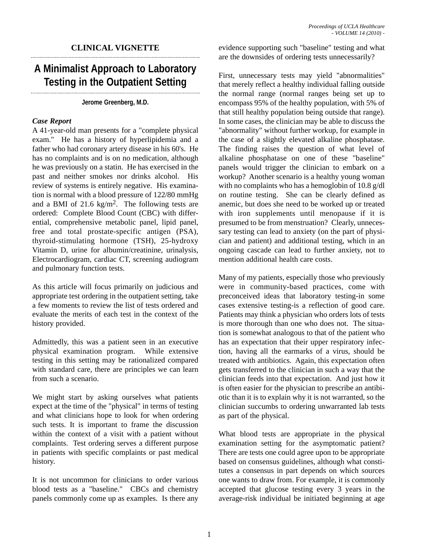## **CLINICAL VIGNETTE**

## **A Minimalist Approach to Laboratory Testing in the Outpatient Setting**

**Jerome Greenberg, M.D.**

## *Case Report*

A 41-year-old man presents for a "complete physical exam." He has a history of hyperlipidemia and a father who had coronary artery disease in his 60's. He has no complaints and is on no medication, although he was previously on a statin. He has exercised in the past and neither smokes nor drinks alcohol. His review of systems is entirely negative. His examination is normal with a blood pressure of 122/80 mmHg and a BMI of 21.6 kg/m2. The following tests are ordered: Complete Blood Count (CBC) with differential, comprehensive metabolic panel, lipid panel, free and total prostate-specific antigen (PSA), thyroid-stimulating hormone (TSH), 25-hydroxy Vitamin D, urine for albumin/creatinine, urinalysis, Electrocardiogram, cardiac CT, screening audiogram and pulmonary function tests.

As this article will focus primarily on judicious and appropriate test ordering in the outpatient setting, take a few moments to review the list of tests ordered and evaluate the merits of each test in the context of the history provided.

Admittedly, this was a patient seen in an executive physical examination program. While extensive testing in this setting may be rationalized compared with standard care, there are principles we can learn from such a scenario.

We might start by asking ourselves what patients expect at the time of the "physical" in terms of testing and what clinicians hope to look for when ordering such tests. It is important to frame the discussion within the context of a visit with a patient without complaints. Test ordering serves a different purpose in patients with specific complaints or past medical history.

It is not uncommon for clinicians to order various blood tests as a "baseline." CBCs and chemistry panels commonly come up as examples. Is there any evidence supporting such "baseline" testing and what are the downsides of ordering tests unnecessarily?

First, unnecessary tests may yield "abnormalities" that merely reflect a healthy individual falling outside the normal range (normal ranges being set up to encompass 95% of the healthy population, with 5% of that still healthy population being outside that range). In some cases, the clinician may be able to discuss the "abnormality" without further workup, for example in the case of a slightly elevated alkaline phosphatase. The finding raises the question of what level of alkaline phosphatase on one of these "baseline" panels would trigger the clinician to embark on a workup? Another scenario is a healthy young woman with no complaints who has a hemoglobin of 10.8 g/dl on routine testing. She can be clearly defined as anemic, but does she need to be worked up or treated with iron supplements until menopause if it is presumed to be from menstruation? Clearly, unnecessary testing can lead to anxiety (on the part of physician and patient) and additional testing, which in an ongoing cascade can lead to further anxiety, not to mention additional health care costs.

Many of my patients, especially those who previously were in community-based practices, come with preconceived ideas that laboratory testing-in some cases extensive testing-is a reflection of good care. Patients may think a physician who orders lots of tests is more thorough than one who does not. The situation is somewhat analogous to that of the patient who has an expectation that their upper respiratory infection, having all the earmarks of a virus, should be treated with antibiotics. Again, this expectation often gets transferred to the clinician in such a way that the clinician feeds into that expectation. And just how it is often easier for the physician to prescribe an antibiotic than it is to explain why it is not warranted, so the clinician succumbs to ordering unwarranted lab tests as part of the physical.

What blood tests are appropriate in the physical examination setting for the asymptomatic patient? There are tests one could agree upon to be appropriate based on consensus guidelines, although what constitutes a consensus in part depends on which sources one wants to draw from. For example, it is commonly accepted that glucose testing every 3 years in the average-risk individual be initiated beginning at age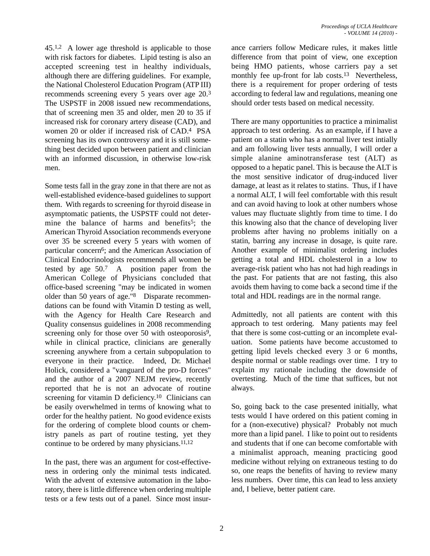45.1,2 A lower age threshold is applicable to those with risk factors for diabetes. Lipid testing is also an accepted screening test in healthy individuals, although there are differing guidelines. For example, the National Cholesterol Education Program (ATP III) recommends screening every 5 years over age 20.3 The USPSTF in 2008 issued new recommendations, that of screening men 35 and older, men 20 to 35 if increased risk for coronary artery disease (CAD), and women 20 or older if increased risk of CAD.4 PSA screening has its own controversy and it is still something best decided upon between patient and clinician with an informed discussion, in otherwise low-risk men.

Some tests fall in the gray zone in that there are not as well-established evidence-based guidelines to support them. With regards to screening for thyroid disease in asymptomatic patients, the USPSTF could not determine the balance of harms and benefits<sup>5</sup>; the American Thyroid Association recommends everyone over 35 be screened every 5 years with women of particular concern<sup>6</sup>; and the American Association of Clinical Endocrinologists recommends all women be tested by age 50.7 A position paper from the American College of Physicians concluded that office-based screening "may be indicated in women older than 50 years of age."8 Disparate recommendations can be found with Vitamin D testing as well, with the Agency for Health Care Research and Quality consensus guidelines in 2008 recommending screening only for those over 50 with osteoporosis<sup>9</sup>, while in clinical practice, clinicians are generally screening anywhere from a certain subpopulation to everyone in their practice. Indeed, Dr. Michael Holick, considered a "vanguard of the pro-D forces" and the author of a 2007 NEJM review, recently reported that he is not an advocate of routine screening for vitamin D deficiency.<sup>10</sup> Clinicians can be easily overwhelmed in terms of knowing what to order for the healthy patient. No good evidence exists for the ordering of complete blood counts or chemistry panels as part of routine testing, yet they continue to be ordered by many physicians.11,12

In the past, there was an argument for cost-effectiveness in ordering only the minimal tests indicated. With the advent of extensive automation in the laboratory, there is little difference when ordering multiple tests or a few tests out of a panel. Since most insurance carriers follow Medicare rules, it makes little difference from that point of view, one exception being HMO patients, whose carriers pay a set monthly fee up-front for lab costs.<sup>13</sup> Nevertheless, there is a requirement for proper ordering of tests according to federal law and regulations, meaning one should order tests based on medical necessity.

There are many opportunities to practice a minimalist approach to test ordering. As an example, if I have a patient on a statin who has a normal liver test intially and am following liver tests annually, I will order a simple alanine aminotransferase test (ALT) as opposed to a hepatic panel. This is because the ALT is the most sensitive indicator of drug-induced liver damage, at least as it relates to statins. Thus, if I have a normal ALT, I will feel comfortable with this result and can avoid having to look at other numbers whose values may fluctuate slightly from time to time. I do this knowing also that the chance of developing liver problems after having no problems initially on a statin, barring any increase in dosage, is quite rare. Another example of minimalist ordering includes getting a total and HDL cholesterol in a low to average-risk patient who has not had high readings in the past. For patients that are not fasting, this also avoids them having to come back a second time if the total and HDL readings are in the normal range.

Admittedly, not all patients are content with this approach to test ordering. Many patients may feel that there is some cost-cutting or an incomplete evaluation. Some patients have become accustomed to getting lipid levels checked every 3 or 6 months, despite normal or stable readings over time. I try to explain my rationale including the downside of overtesting. Much of the time that suffices, but not always.

So, going back to the case presented initially, what tests would I have ordered on this patient coming in for a (non-executive) physical? Probably not much more than a lipid panel. I like to point out to residents and students that if one can become comfortable with a minimalist approach, meaning practicing good medicine without relying on extraneous testing to do so, one reaps the benefits of having to review many less numbers. Over time, this can lead to less anxiety and, I believe, better patient care.